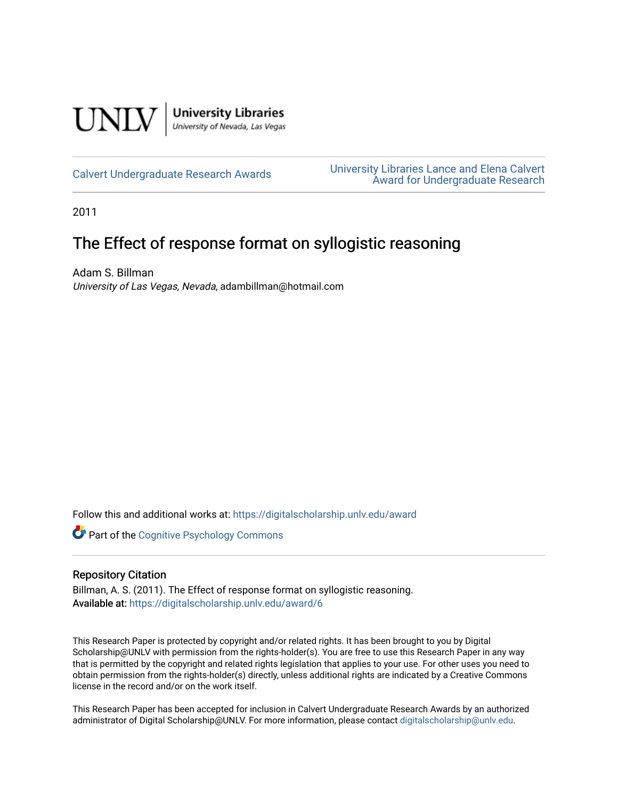

[Calvert Undergraduate Research Awards](https://digitalscholarship.unlv.edu/award) [University Libraries Lance and Elena Calvert](https://digitalscholarship.unlv.edu/calvert)  [Award for Undergraduate Research](https://digitalscholarship.unlv.edu/calvert) 

2011

# The Effect of response format on syllogistic reasoning

Adam S. Billman University of Las Vegas, Nevada, adambillman@hotmail.com

Follow this and additional works at: [https://digitalscholarship.unlv.edu/award](https://digitalscholarship.unlv.edu/award?utm_source=digitalscholarship.unlv.edu%2Faward%2F6&utm_medium=PDF&utm_campaign=PDFCoverPages) 

Part of the [Cognitive Psychology Commons](http://network.bepress.com/hgg/discipline/408?utm_source=digitalscholarship.unlv.edu%2Faward%2F6&utm_medium=PDF&utm_campaign=PDFCoverPages) 

#### Repository Citation

Billman, A. S. (2011). The Effect of response format on syllogistic reasoning. Available at: <https://digitalscholarship.unlv.edu/award/6>

This Research Paper is protected by copyright and/or related rights. It has been brought to you by Digital Scholarship@UNLV with permission from the rights-holder(s). You are free to use this Research Paper in any way that is permitted by the copyright and related rights legislation that applies to your use. For other uses you need to obtain permission from the rights-holder(s) directly, unless additional rights are indicated by a Creative Commons license in the record and/or on the work itself.

This Research Paper has been accepted for inclusion in Calvert Undergraduate Research Awards by an authorized administrator of Digital Scholarship@UNLV. For more information, please contact [digitalscholarship@unlv.edu.](mailto:digitalscholarship@unlv.edu)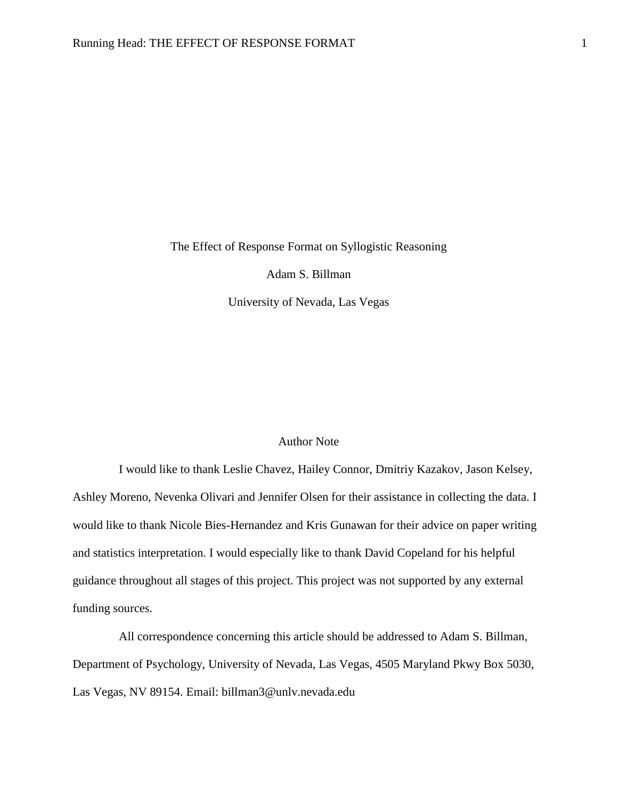The Effect of Response Format on Syllogistic Reasoning

Adam S. Billman

University of Nevada, Las Vegas

## Author Note

I would like to thank Leslie Chavez, Hailey Connor, Dmitriy Kazakov, Jason Kelsey, Ashley Moreno, Nevenka Olivari and Jennifer Olsen for their assistance in collecting the data. I would like to thank Nicole Bies-Hernandez and Kris Gunawan for their advice on paper writing and statistics interpretation. I would especially like to thank David Copeland for his helpful guidance throughout all stages of this project. This project was not supported by any external funding sources.

All correspondence concerning this article should be addressed to Adam S. Billman, Department of Psychology, University of Nevada, Las Vegas, 4505 Maryland Pkwy Box 5030, Las Vegas, NV 89154. Email: billman3@unlv.nevada.edu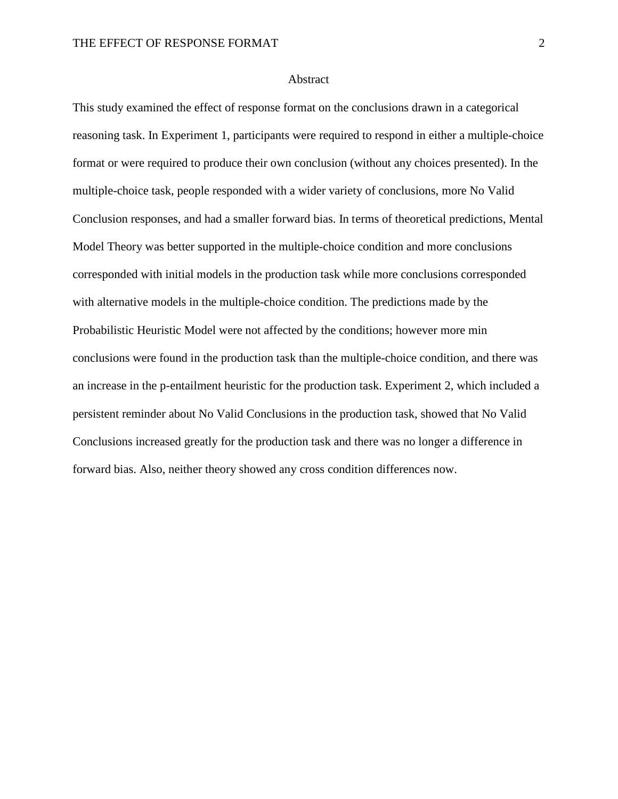#### Abstract

This study examined the effect of response format on the conclusions drawn in a categorical reasoning task. In Experiment 1, participants were required to respond in either a multiple-choice format or were required to produce their own conclusion (without any choices presented). In the multiple-choice task, people responded with a wider variety of conclusions, more No Valid Conclusion responses, and had a smaller forward bias. In terms of theoretical predictions, Mental Model Theory was better supported in the multiple-choice condition and more conclusions corresponded with initial models in the production task while more conclusions corresponded with alternative models in the multiple-choice condition. The predictions made by the Probabilistic Heuristic Model were not affected by the conditions; however more min conclusions were found in the production task than the multiple-choice condition, and there was an increase in the p-entailment heuristic for the production task. Experiment 2, which included a persistent reminder about No Valid Conclusions in the production task, showed that No Valid Conclusions increased greatly for the production task and there was no longer a difference in forward bias. Also, neither theory showed any cross condition differences now.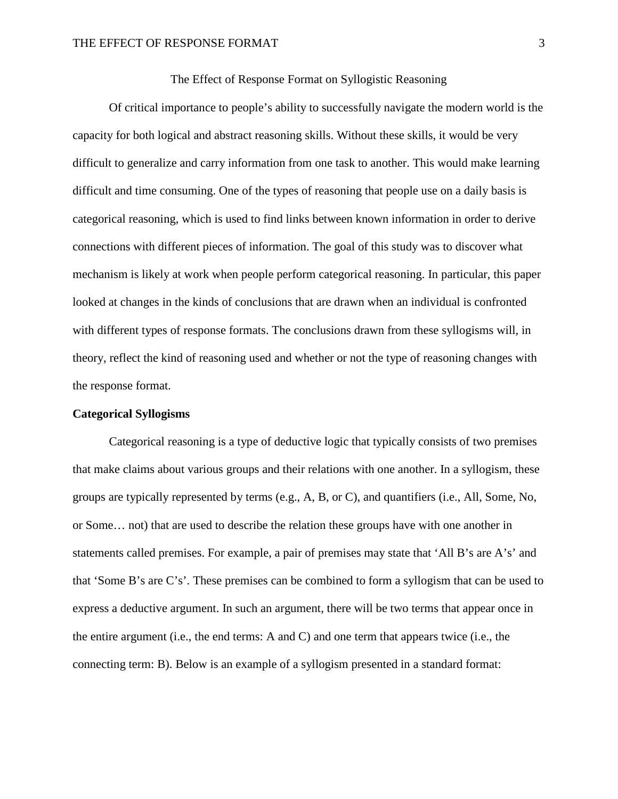#### The Effect of Response Format on Syllogistic Reasoning

Of critical importance to people's ability to successfully navigate the modern world is the capacity for both logical and abstract reasoning skills. Without these skills, it would be very difficult to generalize and carry information from one task to another. This would make learning difficult and time consuming. One of the types of reasoning that people use on a daily basis is categorical reasoning, which is used to find links between known information in order to derive connections with different pieces of information. The goal of this study was to discover what mechanism is likely at work when people perform categorical reasoning. In particular, this paper looked at changes in the kinds of conclusions that are drawn when an individual is confronted with different types of response formats. The conclusions drawn from these syllogisms will, in theory, reflect the kind of reasoning used and whether or not the type of reasoning changes with the response format.

#### **Categorical Syllogisms**

Categorical reasoning is a type of deductive logic that typically consists of two premises that make claims about various groups and their relations with one another. In a syllogism, these groups are typically represented by terms (e.g., A, B, or C), and quantifiers (i.e., All, Some, No, or Some… not) that are used to describe the relation these groups have with one another in statements called premises. For example, a pair of premises may state that 'All B's are A's' and that 'Some B's are C's'. These premises can be combined to form a syllogism that can be used to express a deductive argument. In such an argument, there will be two terms that appear once in the entire argument (i.e., the end terms: A and C) and one term that appears twice (i.e., the connecting term: B). Below is an example of a syllogism presented in a standard format: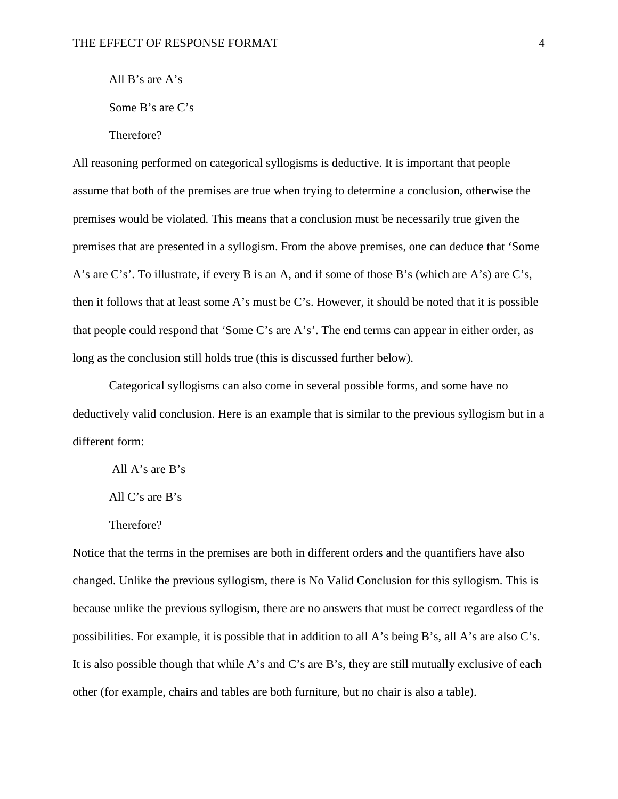All B's are A's

Some B's are C's

Therefore?

All reasoning performed on categorical syllogisms is deductive. It is important that people assume that both of the premises are true when trying to determine a conclusion, otherwise the premises would be violated. This means that a conclusion must be necessarily true given the premises that are presented in a syllogism. From the above premises, one can deduce that 'Some A's are C's'. To illustrate, if every B is an A, and if some of those B's (which are A's) are C's, then it follows that at least some A's must be C's. However, it should be noted that it is possible that people could respond that 'Some C's are A's'. The end terms can appear in either order, as long as the conclusion still holds true (this is discussed further below).

Categorical syllogisms can also come in several possible forms, and some have no deductively valid conclusion. Here is an example that is similar to the previous syllogism but in a different form:

All A's are B's All C's are B's

Therefore?

Notice that the terms in the premises are both in different orders and the quantifiers have also changed. Unlike the previous syllogism, there is No Valid Conclusion for this syllogism. This is because unlike the previous syllogism, there are no answers that must be correct regardless of the possibilities. For example, it is possible that in addition to all A's being B's, all A's are also C's. It is also possible though that while A's and C's are B's, they are still mutually exclusive of each other (for example, chairs and tables are both furniture, but no chair is also a table).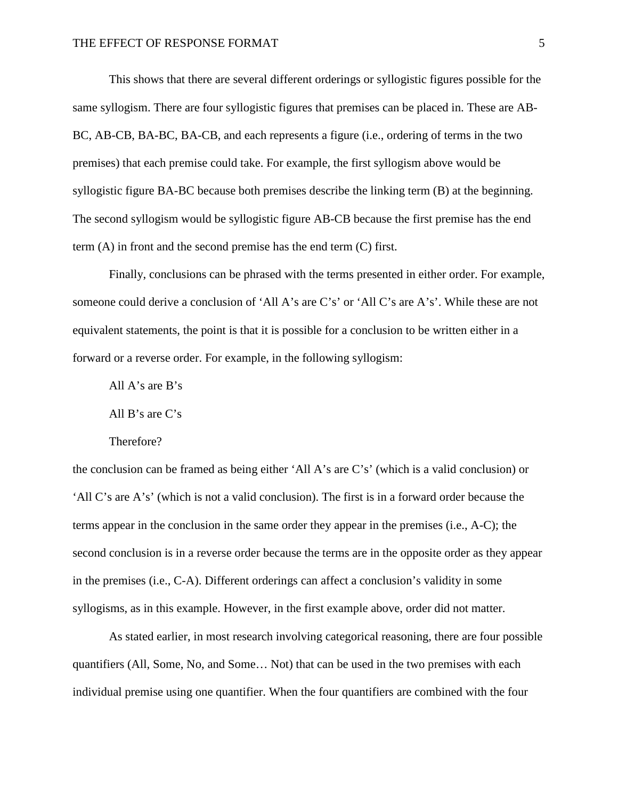This shows that there are several different orderings or syllogistic figures possible for the same syllogism. There are four syllogistic figures that premises can be placed in. These are AB-BC, AB-CB, BA-BC, BA-CB, and each represents a figure (i.e., ordering of terms in the two premises) that each premise could take. For example, the first syllogism above would be syllogistic figure BA-BC because both premises describe the linking term (B) at the beginning. The second syllogism would be syllogistic figure AB-CB because the first premise has the end term (A) in front and the second premise has the end term (C) first.

Finally, conclusions can be phrased with the terms presented in either order. For example, someone could derive a conclusion of 'All A's are C's' or 'All C's are A's'. While these are not equivalent statements, the point is that it is possible for a conclusion to be written either in a forward or a reverse order. For example, in the following syllogism:

All A's are B's

All B's are C's

Therefore?

the conclusion can be framed as being either 'All A's are C's' (which is a valid conclusion) or 'All C's are A's' (which is not a valid conclusion). The first is in a forward order because the terms appear in the conclusion in the same order they appear in the premises (i.e., A-C); the second conclusion is in a reverse order because the terms are in the opposite order as they appear in the premises (i.e., C-A). Different orderings can affect a conclusion's validity in some syllogisms, as in this example. However, in the first example above, order did not matter.

As stated earlier, in most research involving categorical reasoning, there are four possible quantifiers (All, Some, No, and Some… Not) that can be used in the two premises with each individual premise using one quantifier. When the four quantifiers are combined with the four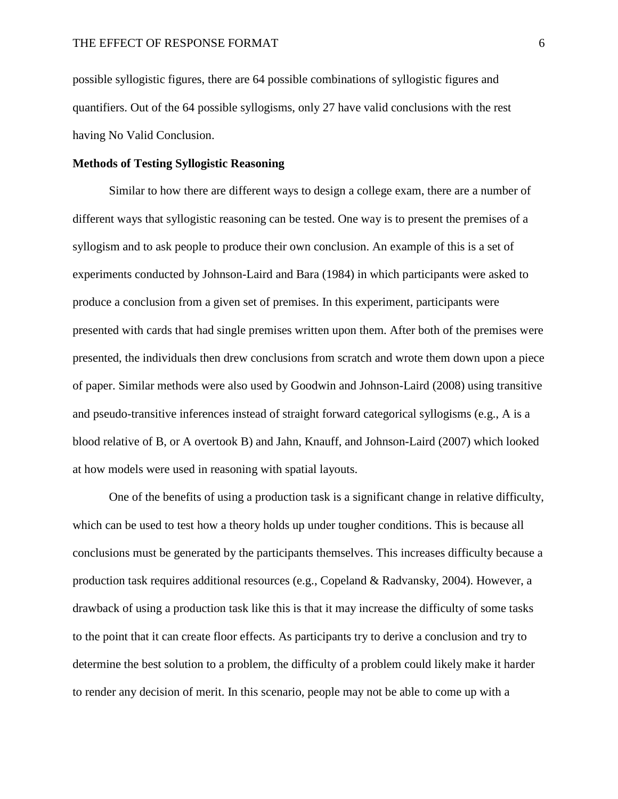possible syllogistic figures, there are 64 possible combinations of syllogistic figures and quantifiers. Out of the 64 possible syllogisms, only 27 have valid conclusions with the rest having No Valid Conclusion.

### **Methods of Testing Syllogistic Reasoning**

Similar to how there are different ways to design a college exam, there are a number of different ways that syllogistic reasoning can be tested. One way is to present the premises of a syllogism and to ask people to produce their own conclusion. An example of this is a set of experiments conducted by Johnson-Laird and Bara (1984) in which participants were asked to produce a conclusion from a given set of premises. In this experiment, participants were presented with cards that had single premises written upon them. After both of the premises were presented, the individuals then drew conclusions from scratch and wrote them down upon a piece of paper. Similar methods were also used by Goodwin and Johnson-Laird (2008) using transitive and pseudo-transitive inferences instead of straight forward categorical syllogisms (e.g., A is a blood relative of B, or A overtook B) and Jahn, Knauff, and Johnson-Laird (2007) which looked at how models were used in reasoning with spatial layouts.

One of the benefits of using a production task is a significant change in relative difficulty, which can be used to test how a theory holds up under tougher conditions. This is because all conclusions must be generated by the participants themselves. This increases difficulty because a production task requires additional resources (e.g., Copeland & Radvansky, 2004). However, a drawback of using a production task like this is that it may increase the difficulty of some tasks to the point that it can create floor effects. As participants try to derive a conclusion and try to determine the best solution to a problem, the difficulty of a problem could likely make it harder to render any decision of merit. In this scenario, people may not be able to come up with a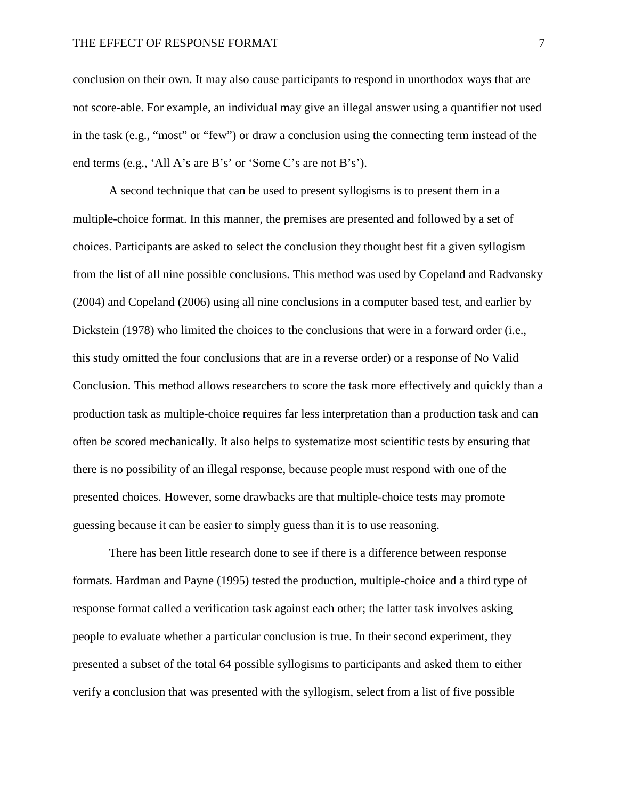conclusion on their own. It may also cause participants to respond in unorthodox ways that are not score-able. For example, an individual may give an illegal answer using a quantifier not used in the task (e.g., "most" or "few") or draw a conclusion using the connecting term instead of the end terms (e.g., 'All A's are B's' or 'Some C's are not B's').

A second technique that can be used to present syllogisms is to present them in a multiple-choice format. In this manner, the premises are presented and followed by a set of choices. Participants are asked to select the conclusion they thought best fit a given syllogism from the list of all nine possible conclusions. This method was used by Copeland and Radvansky (2004) and Copeland (2006) using all nine conclusions in a computer based test, and earlier by Dickstein (1978) who limited the choices to the conclusions that were in a forward order (i.e., this study omitted the four conclusions that are in a reverse order) or a response of No Valid Conclusion. This method allows researchers to score the task more effectively and quickly than a production task as multiple-choice requires far less interpretation than a production task and can often be scored mechanically. It also helps to systematize most scientific tests by ensuring that there is no possibility of an illegal response, because people must respond with one of the presented choices. However, some drawbacks are that multiple-choice tests may promote guessing because it can be easier to simply guess than it is to use reasoning.

There has been little research done to see if there is a difference between response formats. Hardman and Payne (1995) tested the production, multiple-choice and a third type of response format called a verification task against each other; the latter task involves asking people to evaluate whether a particular conclusion is true. In their second experiment, they presented a subset of the total 64 possible syllogisms to participants and asked them to either verify a conclusion that was presented with the syllogism, select from a list of five possible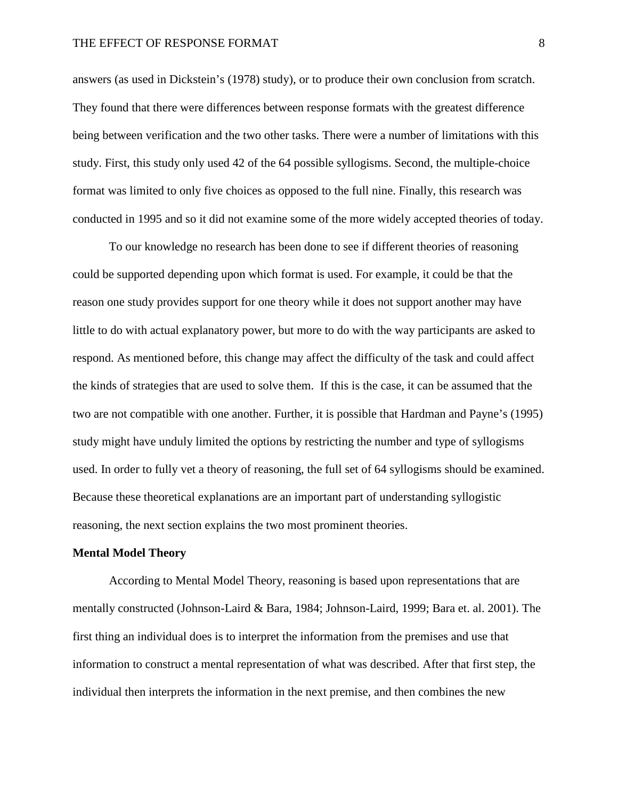answers (as used in Dickstein's (1978) study), or to produce their own conclusion from scratch. They found that there were differences between response formats with the greatest difference being between verification and the two other tasks. There were a number of limitations with this study. First, this study only used 42 of the 64 possible syllogisms. Second, the multiple-choice format was limited to only five choices as opposed to the full nine. Finally, this research was conducted in 1995 and so it did not examine some of the more widely accepted theories of today.

To our knowledge no research has been done to see if different theories of reasoning could be supported depending upon which format is used. For example, it could be that the reason one study provides support for one theory while it does not support another may have little to do with actual explanatory power, but more to do with the way participants are asked to respond. As mentioned before, this change may affect the difficulty of the task and could affect the kinds of strategies that are used to solve them. If this is the case, it can be assumed that the two are not compatible with one another. Further, it is possible that Hardman and Payne's (1995) study might have unduly limited the options by restricting the number and type of syllogisms used. In order to fully vet a theory of reasoning, the full set of 64 syllogisms should be examined. Because these theoretical explanations are an important part of understanding syllogistic reasoning, the next section explains the two most prominent theories.

#### **Mental Model Theory**

According to Mental Model Theory, reasoning is based upon representations that are mentally constructed (Johnson-Laird & Bara, 1984; Johnson-Laird, 1999; Bara et. al. 2001). The first thing an individual does is to interpret the information from the premises and use that information to construct a mental representation of what was described. After that first step, the individual then interprets the information in the next premise, and then combines the new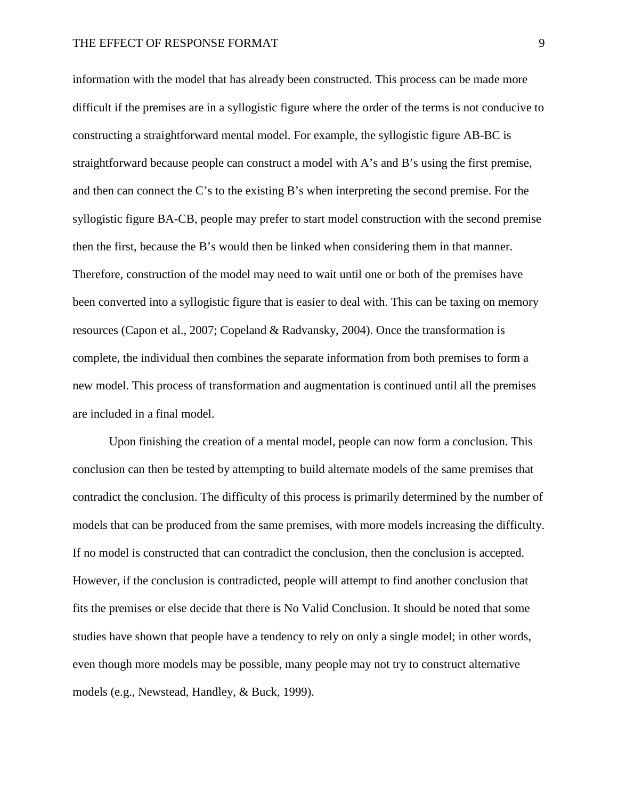information with the model that has already been constructed. This process can be made more difficult if the premises are in a syllogistic figure where the order of the terms is not conducive to constructing a straightforward mental model. For example, the syllogistic figure AB-BC is straightforward because people can construct a model with A's and B's using the first premise, and then can connect the C's to the existing B's when interpreting the second premise. For the syllogistic figure BA-CB, people may prefer to start model construction with the second premise then the first, because the B's would then be linked when considering them in that manner. Therefore, construction of the model may need to wait until one or both of the premises have been converted into a syllogistic figure that is easier to deal with. This can be taxing on memory resources (Capon et al., 2007; Copeland & Radvansky, 2004). Once the transformation is complete, the individual then combines the separate information from both premises to form a new model. This process of transformation and augmentation is continued until all the premises are included in a final model.

Upon finishing the creation of a mental model, people can now form a conclusion. This conclusion can then be tested by attempting to build alternate models of the same premises that contradict the conclusion. The difficulty of this process is primarily determined by the number of models that can be produced from the same premises, with more models increasing the difficulty. If no model is constructed that can contradict the conclusion, then the conclusion is accepted. However, if the conclusion is contradicted, people will attempt to find another conclusion that fits the premises or else decide that there is No Valid Conclusion. It should be noted that some studies have shown that people have a tendency to rely on only a single model; in other words, even though more models may be possible, many people may not try to construct alternative models (e.g., Newstead, Handley, & Buck, 1999).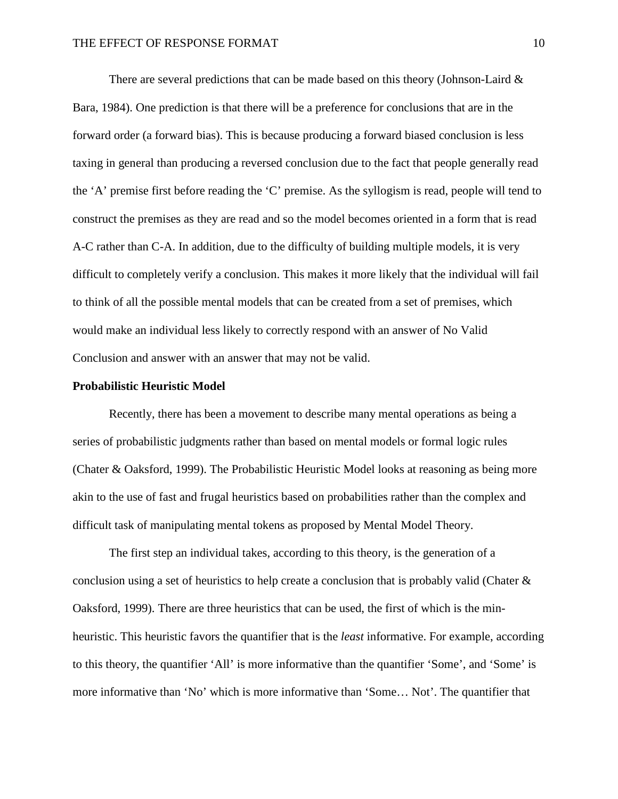There are several predictions that can be made based on this theory (Johnson-Laird  $\&$ Bara, 1984). One prediction is that there will be a preference for conclusions that are in the forward order (a forward bias). This is because producing a forward biased conclusion is less taxing in general than producing a reversed conclusion due to the fact that people generally read the 'A' premise first before reading the 'C' premise. As the syllogism is read, people will tend to construct the premises as they are read and so the model becomes oriented in a form that is read A-C rather than C-A. In addition, due to the difficulty of building multiple models, it is very difficult to completely verify a conclusion. This makes it more likely that the individual will fail to think of all the possible mental models that can be created from a set of premises, which would make an individual less likely to correctly respond with an answer of No Valid Conclusion and answer with an answer that may not be valid.

#### **Probabilistic Heuristic Model**

Recently, there has been a movement to describe many mental operations as being a series of probabilistic judgments rather than based on mental models or formal logic rules (Chater & Oaksford, 1999). The Probabilistic Heuristic Model looks at reasoning as being more akin to the use of fast and frugal heuristics based on probabilities rather than the complex and difficult task of manipulating mental tokens as proposed by Mental Model Theory.

The first step an individual takes, according to this theory, is the generation of a conclusion using a set of heuristics to help create a conclusion that is probably valid (Chater  $\&$ Oaksford, 1999). There are three heuristics that can be used, the first of which is the minheuristic. This heuristic favors the quantifier that is the *least* informative. For example, according to this theory, the quantifier 'All' is more informative than the quantifier 'Some', and 'Some' is more informative than 'No' which is more informative than 'Some… Not'. The quantifier that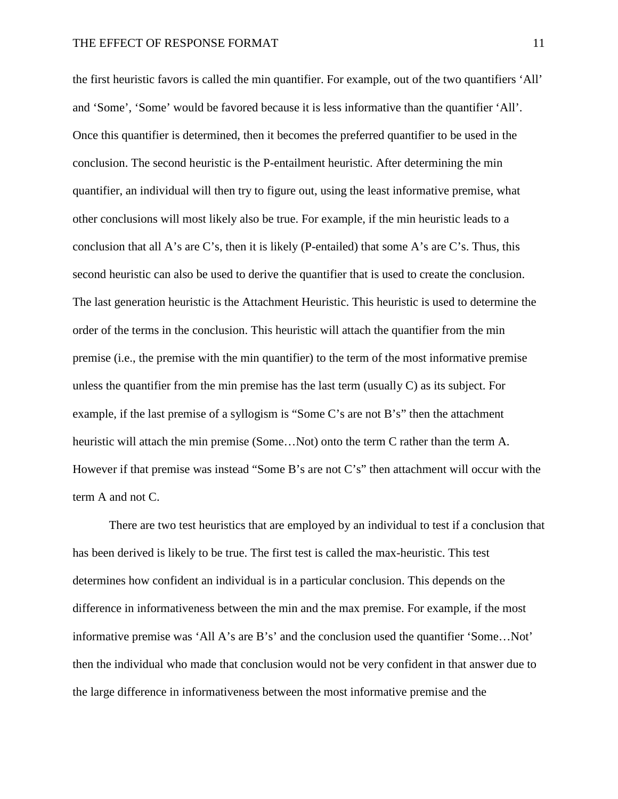the first heuristic favors is called the min quantifier. For example, out of the two quantifiers 'All' and 'Some', 'Some' would be favored because it is less informative than the quantifier 'All'. Once this quantifier is determined, then it becomes the preferred quantifier to be used in the conclusion. The second heuristic is the P-entailment heuristic. After determining the min quantifier, an individual will then try to figure out, using the least informative premise, what other conclusions will most likely also be true. For example, if the min heuristic leads to a conclusion that all A's are C's, then it is likely (P-entailed) that some A's are C's. Thus, this second heuristic can also be used to derive the quantifier that is used to create the conclusion. The last generation heuristic is the Attachment Heuristic. This heuristic is used to determine the order of the terms in the conclusion. This heuristic will attach the quantifier from the min premise (i.e., the premise with the min quantifier) to the term of the most informative premise unless the quantifier from the min premise has the last term (usually C) as its subject. For example, if the last premise of a syllogism is "Some C's are not B's" then the attachment heuristic will attach the min premise (Some…Not) onto the term C rather than the term A. However if that premise was instead "Some B's are not C's" then attachment will occur with the term A and not C.

There are two test heuristics that are employed by an individual to test if a conclusion that has been derived is likely to be true. The first test is called the max-heuristic. This test determines how confident an individual is in a particular conclusion. This depends on the difference in informativeness between the min and the max premise. For example, if the most informative premise was 'All A's are B's' and the conclusion used the quantifier 'Some…Not' then the individual who made that conclusion would not be very confident in that answer due to the large difference in informativeness between the most informative premise and the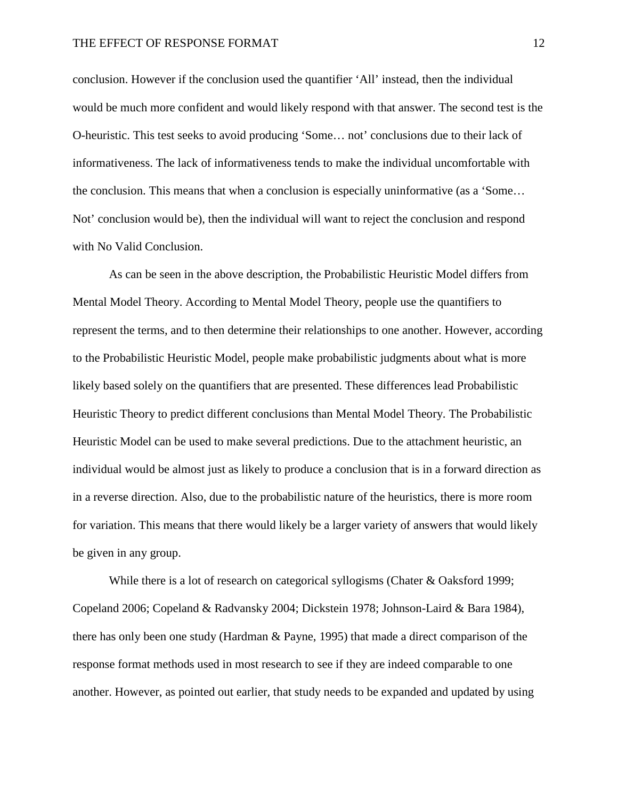conclusion. However if the conclusion used the quantifier 'All' instead, then the individual would be much more confident and would likely respond with that answer. The second test is the O-heuristic. This test seeks to avoid producing 'Some… not' conclusions due to their lack of informativeness. The lack of informativeness tends to make the individual uncomfortable with the conclusion. This means that when a conclusion is especially uninformative (as a 'Some… Not' conclusion would be), then the individual will want to reject the conclusion and respond with No Valid Conclusion.

As can be seen in the above description, the Probabilistic Heuristic Model differs from Mental Model Theory. According to Mental Model Theory, people use the quantifiers to represent the terms, and to then determine their relationships to one another. However, according to the Probabilistic Heuristic Model, people make probabilistic judgments about what is more likely based solely on the quantifiers that are presented. These differences lead Probabilistic Heuristic Theory to predict different conclusions than Mental Model Theory. The Probabilistic Heuristic Model can be used to make several predictions. Due to the attachment heuristic, an individual would be almost just as likely to produce a conclusion that is in a forward direction as in a reverse direction. Also, due to the probabilistic nature of the heuristics, there is more room for variation. This means that there would likely be a larger variety of answers that would likely be given in any group.

While there is a lot of research on categorical syllogisms (Chater & Oaksford 1999; Copeland 2006; Copeland & Radvansky 2004; Dickstein 1978; Johnson-Laird & Bara 1984), there has only been one study (Hardman & Payne, 1995) that made a direct comparison of the response format methods used in most research to see if they are indeed comparable to one another. However, as pointed out earlier, that study needs to be expanded and updated by using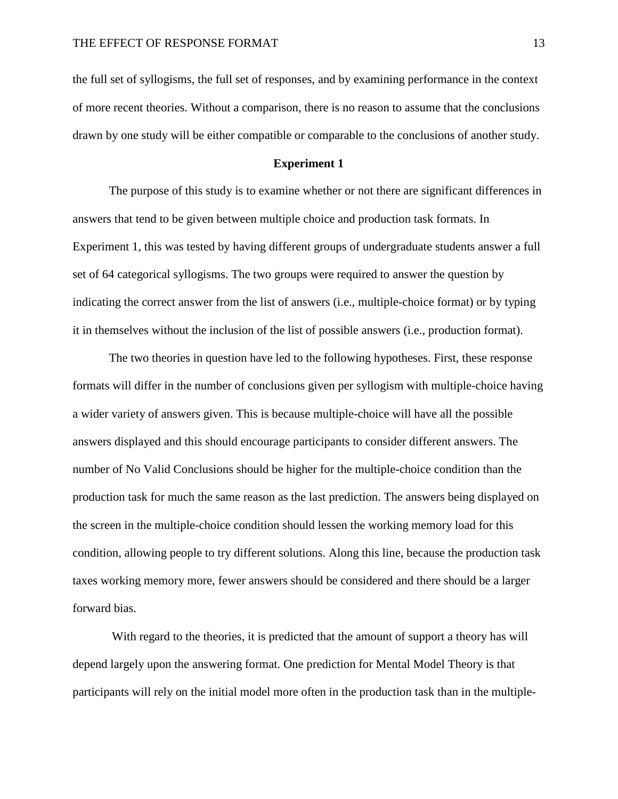the full set of syllogisms, the full set of responses, and by examining performance in the context of more recent theories. Without a comparison, there is no reason to assume that the conclusions drawn by one study will be either compatible or comparable to the conclusions of another study.

#### **Experiment 1**

The purpose of this study is to examine whether or not there are significant differences in answers that tend to be given between multiple choice and production task formats. In Experiment 1, this was tested by having different groups of undergraduate students answer a full set of 64 categorical syllogisms. The two groups were required to answer the question by indicating the correct answer from the list of answers (i.e., multiple-choice format) or by typing it in themselves without the inclusion of the list of possible answers (i.e., production format).

The two theories in question have led to the following hypotheses. First, these response formats will differ in the number of conclusions given per syllogism with multiple-choice having a wider variety of answers given. This is because multiple-choice will have all the possible answers displayed and this should encourage participants to consider different answers. The number of No Valid Conclusions should be higher for the multiple-choice condition than the production task for much the same reason as the last prediction. The answers being displayed on the screen in the multiple-choice condition should lessen the working memory load for this condition, allowing people to try different solutions. Along this line, because the production task taxes working memory more, fewer answers should be considered and there should be a larger forward bias.

With regard to the theories, it is predicted that the amount of support a theory has will depend largely upon the answering format. One prediction for Mental Model Theory is that participants will rely on the initial model more often in the production task than in the multiple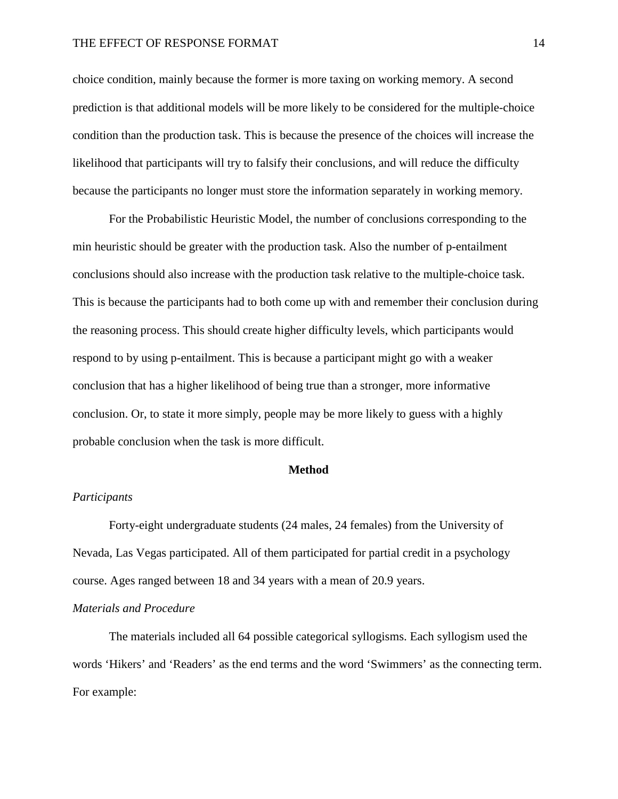choice condition, mainly because the former is more taxing on working memory. A second prediction is that additional models will be more likely to be considered for the multiple-choice condition than the production task. This is because the presence of the choices will increase the likelihood that participants will try to falsify their conclusions, and will reduce the difficulty because the participants no longer must store the information separately in working memory.

For the Probabilistic Heuristic Model, the number of conclusions corresponding to the min heuristic should be greater with the production task. Also the number of p-entailment conclusions should also increase with the production task relative to the multiple-choice task. This is because the participants had to both come up with and remember their conclusion during the reasoning process. This should create higher difficulty levels, which participants would respond to by using p-entailment. This is because a participant might go with a weaker conclusion that has a higher likelihood of being true than a stronger, more informative conclusion. Or, to state it more simply, people may be more likely to guess with a highly probable conclusion when the task is more difficult.

#### **Method**

### *Participants*

Forty-eight undergraduate students (24 males, 24 females) from the University of Nevada, Las Vegas participated. All of them participated for partial credit in a psychology course. Ages ranged between 18 and 34 years with a mean of 20.9 years.

### *Materials and Procedure*

The materials included all 64 possible categorical syllogisms. Each syllogism used the words 'Hikers' and 'Readers' as the end terms and the word 'Swimmers' as the connecting term. For example: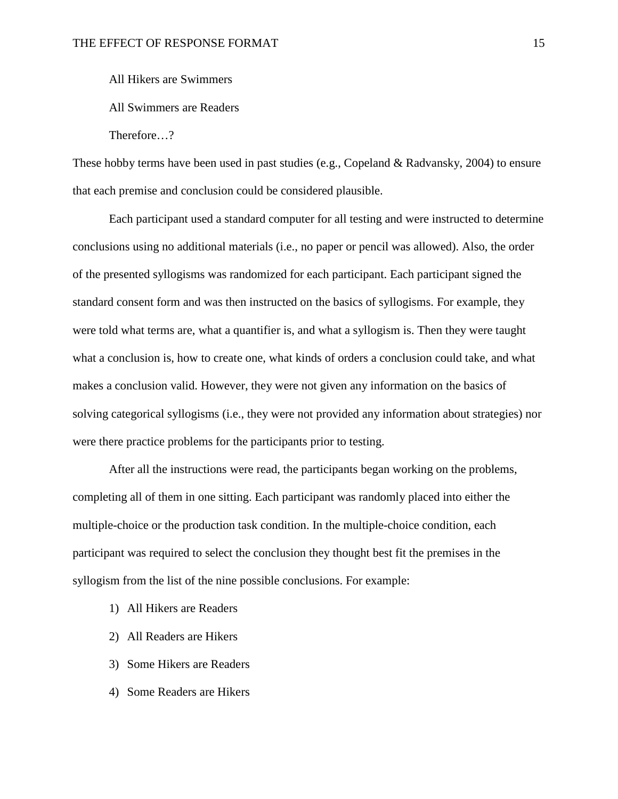All Hikers are Swimmers

All Swimmers are Readers

Therefore…?

These hobby terms have been used in past studies (e.g., Copeland & Radvansky, 2004) to ensure that each premise and conclusion could be considered plausible.

Each participant used a standard computer for all testing and were instructed to determine conclusions using no additional materials (i.e., no paper or pencil was allowed). Also, the order of the presented syllogisms was randomized for each participant. Each participant signed the standard consent form and was then instructed on the basics of syllogisms. For example, they were told what terms are, what a quantifier is, and what a syllogism is. Then they were taught what a conclusion is, how to create one, what kinds of orders a conclusion could take, and what makes a conclusion valid. However, they were not given any information on the basics of solving categorical syllogisms (i.e., they were not provided any information about strategies) nor were there practice problems for the participants prior to testing.

After all the instructions were read, the participants began working on the problems, completing all of them in one sitting. Each participant was randomly placed into either the multiple-choice or the production task condition. In the multiple-choice condition, each participant was required to select the conclusion they thought best fit the premises in the syllogism from the list of the nine possible conclusions. For example:

- 1) All Hikers are Readers
- 2) All Readers are Hikers
- 3) Some Hikers are Readers
- 4) Some Readers are Hikers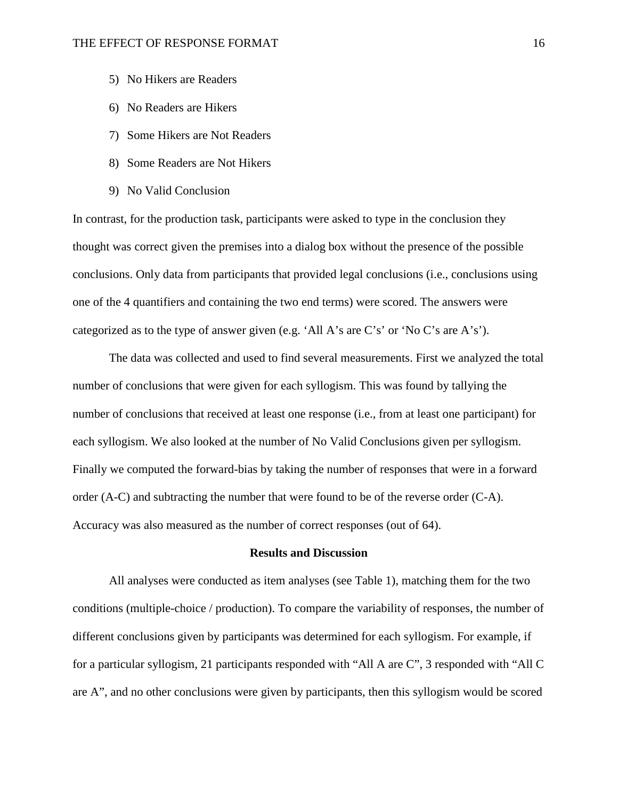- 5) No Hikers are Readers
- 6) No Readers are Hikers
- 7) Some Hikers are Not Readers
- 8) Some Readers are Not Hikers
- 9) No Valid Conclusion

In contrast, for the production task, participants were asked to type in the conclusion they thought was correct given the premises into a dialog box without the presence of the possible conclusions. Only data from participants that provided legal conclusions (i.e., conclusions using one of the 4 quantifiers and containing the two end terms) were scored. The answers were categorized as to the type of answer given (e.g. 'All A's are C's' or 'No C's are A's').

The data was collected and used to find several measurements. First we analyzed the total number of conclusions that were given for each syllogism. This was found by tallying the number of conclusions that received at least one response (i.e., from at least one participant) for each syllogism. We also looked at the number of No Valid Conclusions given per syllogism. Finally we computed the forward-bias by taking the number of responses that were in a forward order (A-C) and subtracting the number that were found to be of the reverse order (C-A). Accuracy was also measured as the number of correct responses (out of 64).

#### **Results and Discussion**

All analyses were conducted as item analyses (see Table 1), matching them for the two conditions (multiple-choice / production). To compare the variability of responses, the number of different conclusions given by participants was determined for each syllogism. For example, if for a particular syllogism, 21 participants responded with "All A are C", 3 responded with "All C are A", and no other conclusions were given by participants, then this syllogism would be scored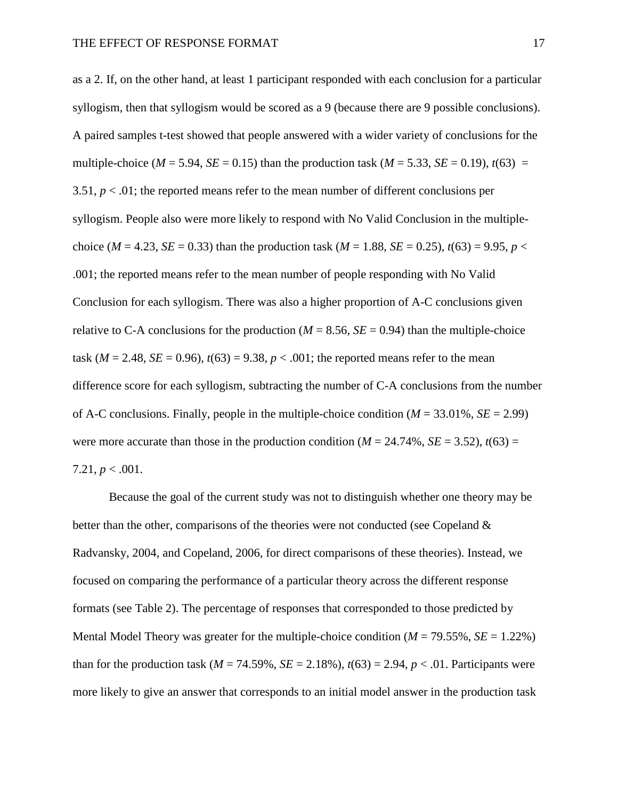as a 2. If, on the other hand, at least 1 participant responded with each conclusion for a particular syllogism, then that syllogism would be scored as a 9 (because there are 9 possible conclusions). A paired samples t-test showed that people answered with a wider variety of conclusions for the multiple-choice ( $M = 5.94$ ,  $SE = 0.15$ ) than the production task ( $M = 5.33$ ,  $SE = 0.19$ ),  $t(63) =$ 3.51,  $p < 0.01$ ; the reported means refer to the mean number of different conclusions per syllogism. People also were more likely to respond with No Valid Conclusion in the multiplechoice (*M* = 4.23, *SE* = 0.33) than the production task (*M* = 1.88, *SE* = 0.25),  $t(63) = 9.95$ ,  $p <$ .001; the reported means refer to the mean number of people responding with No Valid Conclusion for each syllogism. There was also a higher proportion of A-C conclusions given relative to C-A conclusions for the production  $(M = 8.56, SE = 0.94)$  than the multiple-choice task ( $M = 2.48$ ,  $SE = 0.96$ ),  $t(63) = 9.38$ ,  $p < .001$ ; the reported means refer to the mean difference score for each syllogism, subtracting the number of C-A conclusions from the number of A-C conclusions. Finally, people in the multiple-choice condition (*M* = 33.01%, *SE* = 2.99) were more accurate than those in the production condition ( $M = 24.74\%$ ,  $SE = 3.52$ ),  $t(63) =$ 7.21,  $p < .001$ .

Because the goal of the current study was not to distinguish whether one theory may be better than the other, comparisons of the theories were not conducted (see Copeland & Radvansky, 2004, and Copeland, 2006, for direct comparisons of these theories). Instead, we focused on comparing the performance of a particular theory across the different response formats (see Table 2). The percentage of responses that corresponded to those predicted by Mental Model Theory was greater for the multiple-choice condition (*M* = 79.55%, *SE* = 1.22%) than for the production task ( $M = 74.59\%$ ,  $SE = 2.18\%$ ),  $t(63) = 2.94$ ,  $p < .01$ . Participants were more likely to give an answer that corresponds to an initial model answer in the production task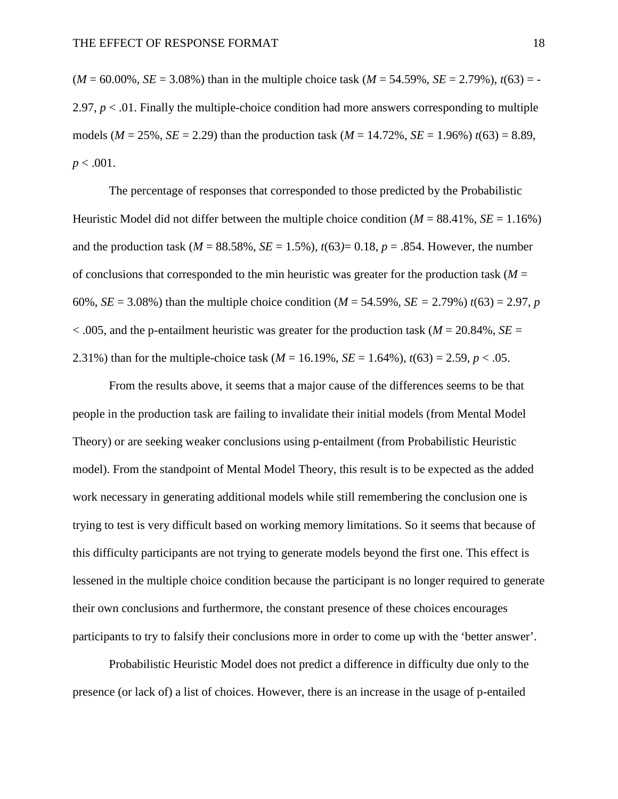$(M = 60.00\%$ ,  $SE = 3.08\%$ ) than in the multiple choice task  $(M = 54.59\%$ ,  $SE = 2.79\%$ ),  $t(63) = -$ 2.97,  $p < 0.01$ . Finally the multiple-choice condition had more answers corresponding to multiple models ( $M = 25\%$ ,  $SE = 2.29$ ) than the production task ( $M = 14.72\%$ ,  $SE = 1.96\%$ )  $t(63) = 8.89$ ,  $p < .001$ .

The percentage of responses that corresponded to those predicted by the Probabilistic Heuristic Model did not differ between the multiple choice condition  $(M = 88.41\%, SE = 1.16\%)$ and the production task ( $M = 88.58\%$ ,  $SE = 1.5\%$ ),  $t(63)=0.18$ ,  $p = .854$ . However, the number of conclusions that corresponded to the min heuristic was greater for the production task  $(M =$ 60%, *SE* = 3.08%) than the multiple choice condition ( $M = 54.59$ %, *SE* = 2.79%)  $t(63) = 2.97$ , *p*  $<$  0.005, and the p-entailment heuristic was greater for the production task ( $M = 20.84\%$ , *SE* = 2.31%) than for the multiple-choice task ( $M = 16.19\%$ ,  $SE = 1.64\%$ ),  $t(63) = 2.59$ ,  $p < .05$ .

From the results above, it seems that a major cause of the differences seems to be that people in the production task are failing to invalidate their initial models (from Mental Model Theory) or are seeking weaker conclusions using p-entailment (from Probabilistic Heuristic model). From the standpoint of Mental Model Theory, this result is to be expected as the added work necessary in generating additional models while still remembering the conclusion one is trying to test is very difficult based on working memory limitations. So it seems that because of this difficulty participants are not trying to generate models beyond the first one. This effect is lessened in the multiple choice condition because the participant is no longer required to generate their own conclusions and furthermore, the constant presence of these choices encourages participants to try to falsify their conclusions more in order to come up with the 'better answer'.

Probabilistic Heuristic Model does not predict a difference in difficulty due only to the presence (or lack of) a list of choices. However, there is an increase in the usage of p-entailed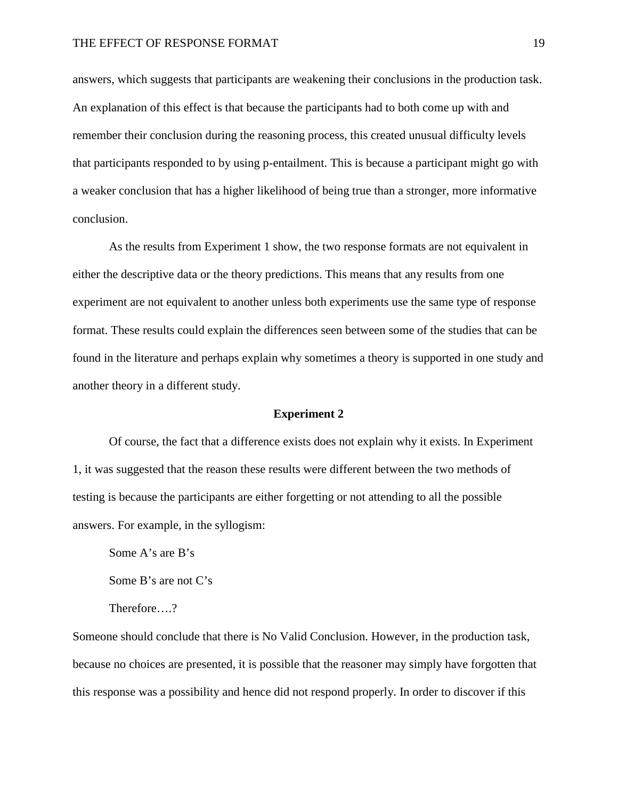answers, which suggests that participants are weakening their conclusions in the production task. An explanation of this effect is that because the participants had to both come up with and remember their conclusion during the reasoning process, this created unusual difficulty levels that participants responded to by using p-entailment. This is because a participant might go with a weaker conclusion that has a higher likelihood of being true than a stronger, more informative conclusion.

As the results from Experiment 1 show, the two response formats are not equivalent in either the descriptive data or the theory predictions. This means that any results from one experiment are not equivalent to another unless both experiments use the same type of response format. These results could explain the differences seen between some of the studies that can be found in the literature and perhaps explain why sometimes a theory is supported in one study and another theory in a different study.

#### **Experiment 2**

Of course, the fact that a difference exists does not explain why it exists. In Experiment 1, it was suggested that the reason these results were different between the two methods of testing is because the participants are either forgetting or not attending to all the possible answers. For example, in the syllogism:

Some A's are B's Some B's are not C's Therefore….?

Someone should conclude that there is No Valid Conclusion. However, in the production task, because no choices are presented, it is possible that the reasoner may simply have forgotten that this response was a possibility and hence did not respond properly. In order to discover if this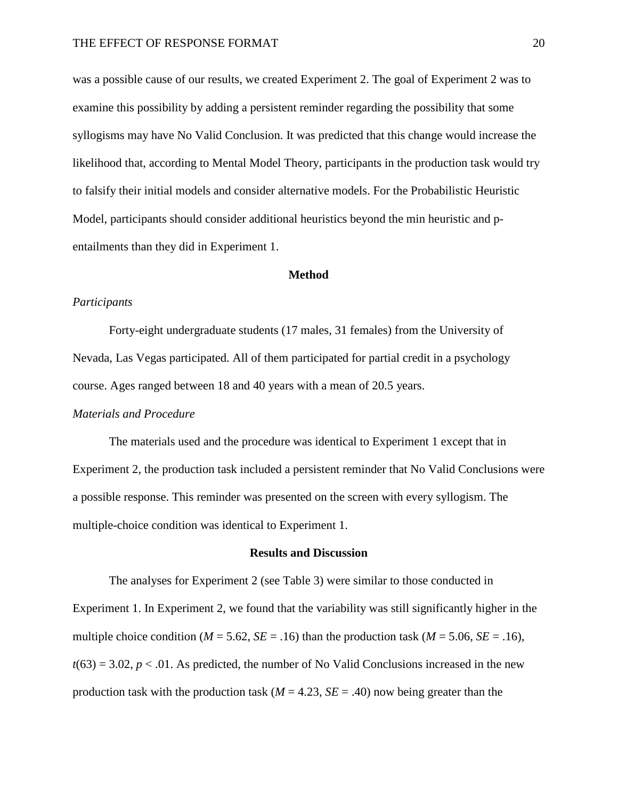was a possible cause of our results, we created Experiment 2. The goal of Experiment 2 was to examine this possibility by adding a persistent reminder regarding the possibility that some syllogisms may have No Valid Conclusion. It was predicted that this change would increase the likelihood that, according to Mental Model Theory, participants in the production task would try to falsify their initial models and consider alternative models. For the Probabilistic Heuristic Model, participants should consider additional heuristics beyond the min heuristic and pentailments than they did in Experiment 1.

#### **Method**

#### *Participants*

Forty-eight undergraduate students (17 males, 31 females) from the University of Nevada, Las Vegas participated. All of them participated for partial credit in a psychology course. Ages ranged between 18 and 40 years with a mean of 20.5 years.

#### *Materials and Procedure*

The materials used and the procedure was identical to Experiment 1 except that in Experiment 2, the production task included a persistent reminder that No Valid Conclusions were a possible response. This reminder was presented on the screen with every syllogism. The multiple-choice condition was identical to Experiment 1.

#### **Results and Discussion**

The analyses for Experiment 2 (see Table 3) were similar to those conducted in Experiment 1. In Experiment 2, we found that the variability was still significantly higher in the multiple choice condition ( $M = 5.62$ ,  $SE = .16$ ) than the production task ( $M = 5.06$ ,  $SE = .16$ ),  $t(63) = 3.02$ ,  $p < .01$ . As predicted, the number of No Valid Conclusions increased in the new production task with the production task  $(M = 4.23, SE = .40)$  now being greater than the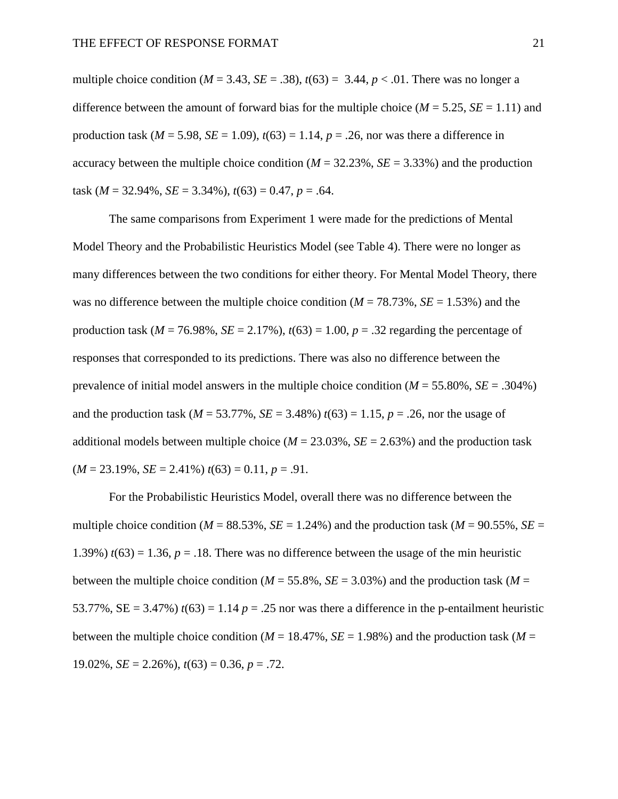multiple choice condition ( $M = 3.43$ ,  $SE = .38$ ),  $t(63) = 3.44$ ,  $p < .01$ . There was no longer a difference between the amount of forward bias for the multiple choice ( $M = 5.25$ ,  $SE = 1.11$ ) and production task ( $M = 5.98$ ,  $SE = 1.09$ ),  $t(63) = 1.14$ ,  $p = .26$ , nor was there a difference in accuracy between the multiple choice condition ( $M = 32.23\%$ ,  $SE = 3.33\%$ ) and the production task ( $M = 32.94\%$ ,  $SE = 3.34\%$ ),  $t(63) = 0.47$ ,  $p = .64$ .

The same comparisons from Experiment 1 were made for the predictions of Mental Model Theory and the Probabilistic Heuristics Model (see Table 4). There were no longer as many differences between the two conditions for either theory. For Mental Model Theory, there was no difference between the multiple choice condition ( $M = 78.73\%$ ,  $SE = 1.53\%$ ) and the production task ( $M = 76.98\%$ ,  $SE = 2.17\%$ ),  $t(63) = 1.00$ ,  $p = .32$  regarding the percentage of responses that corresponded to its predictions. There was also no difference between the prevalence of initial model answers in the multiple choice condition (*M* = 55.80%, *SE* = .304%) and the production task ( $M = 53.77\%$ ,  $SE = 3.48\%$ )  $t(63) = 1.15$ ,  $p = .26$ , nor the usage of additional models between multiple choice ( $M = 23.03\%$ ,  $SE = 2.63\%$ ) and the production task  $(M = 23.19\%, SE = 2.41\%) t(63) = 0.11, p = .91.$ 

For the Probabilistic Heuristics Model, overall there was no difference between the multiple choice condition ( $M = 88.53\%$ ,  $SE = 1.24\%$ ) and the production task ( $M = 90.55\%$ ,  $SE =$ 1.39%)  $t(63) = 1.36$ ,  $p = .18$ . There was no difference between the usage of the min heuristic between the multiple choice condition ( $M = 55.8\%$ ,  $SE = 3.03\%$ ) and the production task ( $M =$ 53.77%, SE = 3.47%)  $t(63) = 1.14$   $p = .25$  nor was there a difference in the p-entailment heuristic between the multiple choice condition ( $M = 18.47\%$ ,  $SE = 1.98\%$ ) and the production task ( $M =$ 19.02%, *SE* = 2.26%), *t*(63) = 0.36, *p* = .72.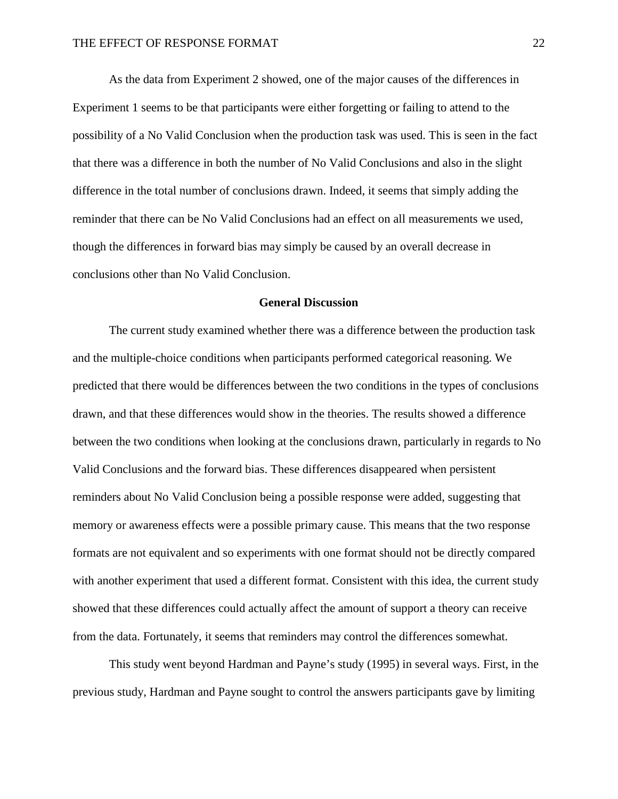As the data from Experiment 2 showed, one of the major causes of the differences in Experiment 1 seems to be that participants were either forgetting or failing to attend to the possibility of a No Valid Conclusion when the production task was used. This is seen in the fact that there was a difference in both the number of No Valid Conclusions and also in the slight difference in the total number of conclusions drawn. Indeed, it seems that simply adding the reminder that there can be No Valid Conclusions had an effect on all measurements we used, though the differences in forward bias may simply be caused by an overall decrease in conclusions other than No Valid Conclusion.

### **General Discussion**

The current study examined whether there was a difference between the production task and the multiple-choice conditions when participants performed categorical reasoning. We predicted that there would be differences between the two conditions in the types of conclusions drawn, and that these differences would show in the theories. The results showed a difference between the two conditions when looking at the conclusions drawn, particularly in regards to No Valid Conclusions and the forward bias. These differences disappeared when persistent reminders about No Valid Conclusion being a possible response were added, suggesting that memory or awareness effects were a possible primary cause. This means that the two response formats are not equivalent and so experiments with one format should not be directly compared with another experiment that used a different format. Consistent with this idea, the current study showed that these differences could actually affect the amount of support a theory can receive from the data. Fortunately, it seems that reminders may control the differences somewhat.

This study went beyond Hardman and Payne's study (1995) in several ways. First, in the previous study, Hardman and Payne sought to control the answers participants gave by limiting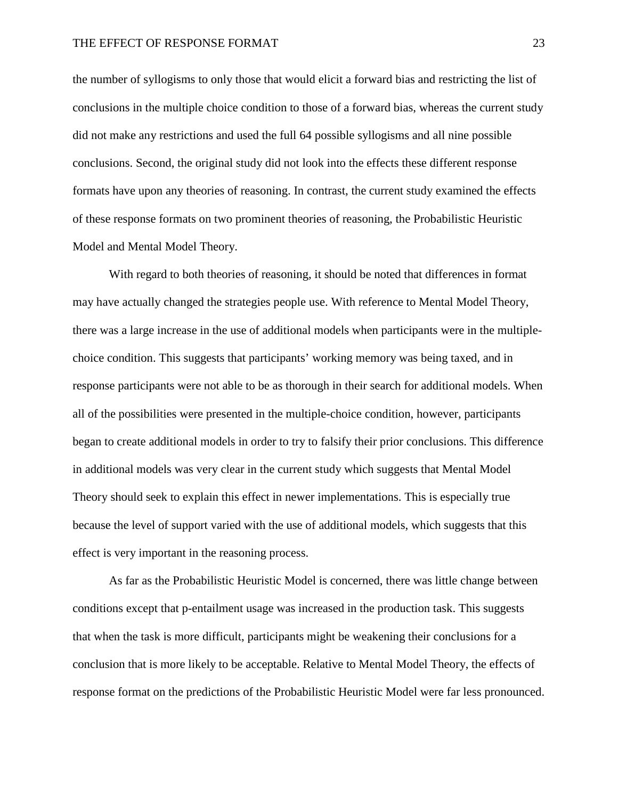the number of syllogisms to only those that would elicit a forward bias and restricting the list of conclusions in the multiple choice condition to those of a forward bias, whereas the current study did not make any restrictions and used the full 64 possible syllogisms and all nine possible conclusions. Second, the original study did not look into the effects these different response formats have upon any theories of reasoning. In contrast, the current study examined the effects of these response formats on two prominent theories of reasoning, the Probabilistic Heuristic Model and Mental Model Theory.

With regard to both theories of reasoning, it should be noted that differences in format may have actually changed the strategies people use. With reference to Mental Model Theory, there was a large increase in the use of additional models when participants were in the multiplechoice condition. This suggests that participants' working memory was being taxed, and in response participants were not able to be as thorough in their search for additional models. When all of the possibilities were presented in the multiple-choice condition, however, participants began to create additional models in order to try to falsify their prior conclusions. This difference in additional models was very clear in the current study which suggests that Mental Model Theory should seek to explain this effect in newer implementations. This is especially true because the level of support varied with the use of additional models, which suggests that this effect is very important in the reasoning process.

As far as the Probabilistic Heuristic Model is concerned, there was little change between conditions except that p-entailment usage was increased in the production task. This suggests that when the task is more difficult, participants might be weakening their conclusions for a conclusion that is more likely to be acceptable. Relative to Mental Model Theory, the effects of response format on the predictions of the Probabilistic Heuristic Model were far less pronounced.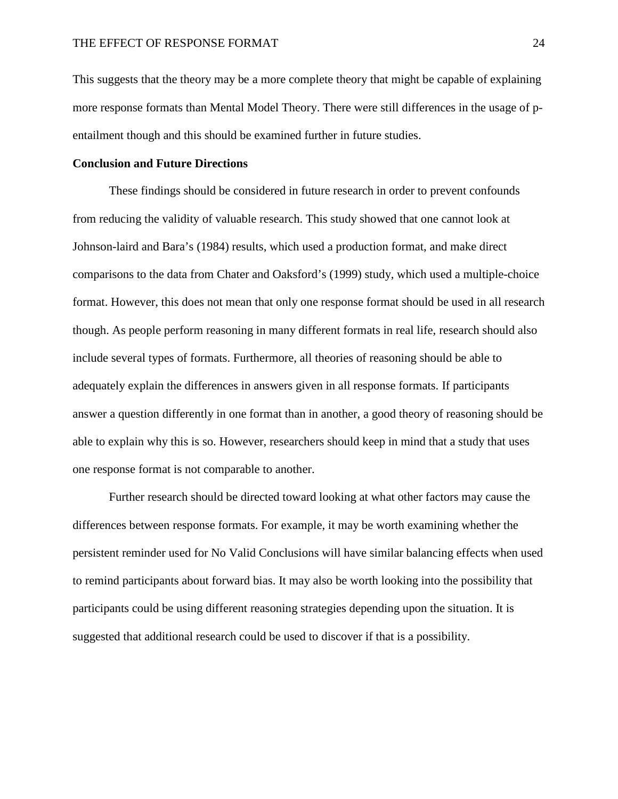This suggests that the theory may be a more complete theory that might be capable of explaining more response formats than Mental Model Theory. There were still differences in the usage of pentailment though and this should be examined further in future studies.

# **Conclusion and Future Directions**

These findings should be considered in future research in order to prevent confounds from reducing the validity of valuable research. This study showed that one cannot look at Johnson-laird and Bara's (1984) results, which used a production format, and make direct comparisons to the data from Chater and Oaksford's (1999) study, which used a multiple-choice format. However, this does not mean that only one response format should be used in all research though. As people perform reasoning in many different formats in real life, research should also include several types of formats. Furthermore, all theories of reasoning should be able to adequately explain the differences in answers given in all response formats. If participants answer a question differently in one format than in another, a good theory of reasoning should be able to explain why this is so. However, researchers should keep in mind that a study that uses one response format is not comparable to another.

Further research should be directed toward looking at what other factors may cause the differences between response formats. For example, it may be worth examining whether the persistent reminder used for No Valid Conclusions will have similar balancing effects when used to remind participants about forward bias. It may also be worth looking into the possibility that participants could be using different reasoning strategies depending upon the situation. It is suggested that additional research could be used to discover if that is a possibility.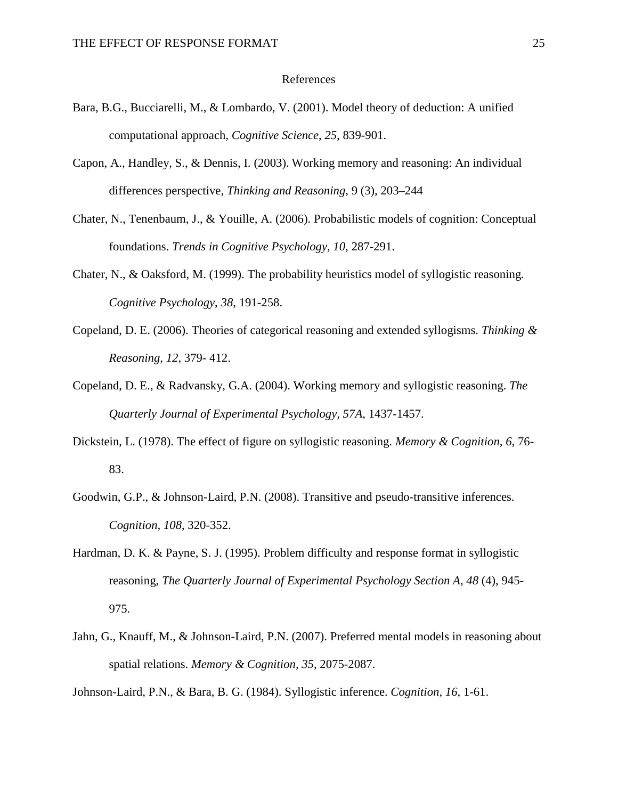#### References

- Bara, B.G., Bucciarelli, M., & Lombardo, V. (2001). Model theory of deduction: A unified computational approach, *Cognitive Science*, *25*, 839-901.
- Capon, A., Handley, S., & Dennis, I. (2003). Working memory and reasoning: An individual differences perspective, *Thinking and Reasoning*, 9 (3), 203–244
- Chater, N., Tenenbaum, J., & Youille, A. (2006). Probabilistic models of cognition: Conceptual foundations. *Trends in Cognitive Psychology, 10,* 287-291.
- Chater, N., & Oaksford, M. (1999). The probability heuristics model of syllogistic reasoning*. Cognitive Psychology*, *38*, 191-258.
- Copeland, D. E. (2006). Theories of categorical reasoning and extended syllogisms. *Thinking & Reasoning, 12*, 379- 412.
- Copeland, D. E., & Radvansky, G.A. (2004). Working memory and syllogistic reasoning. *The Quarterly Journal of Experimental Psychology, 57A*, 1437-1457.
- Dickstein, L. (1978). The effect of figure on syllogistic reasoning. *Memory & Cognition, 6*, 76- 83.
- Goodwin, G.P., & Johnson-Laird, P.N. (2008). Transitive and pseudo-transitive inferences. *Cognition, 108*, 320-352.
- Hardman, D. K. & Payne, S. J. (1995). Problem difficulty and response format in syllogistic reasoning, *The Quarterly Journal of Experimental Psychology Section A*, *48* (4), 945- 975.
- Jahn, G., Knauff, M., & Johnson-Laird, P.N. (2007). Preferred mental models in reasoning about spatial relations. *Memory & Cognition, 35*, 2075-2087.

Johnson-Laird, P.N., & Bara, B. G. (1984). Syllogistic inference. *Cognition, 16*, 1-61.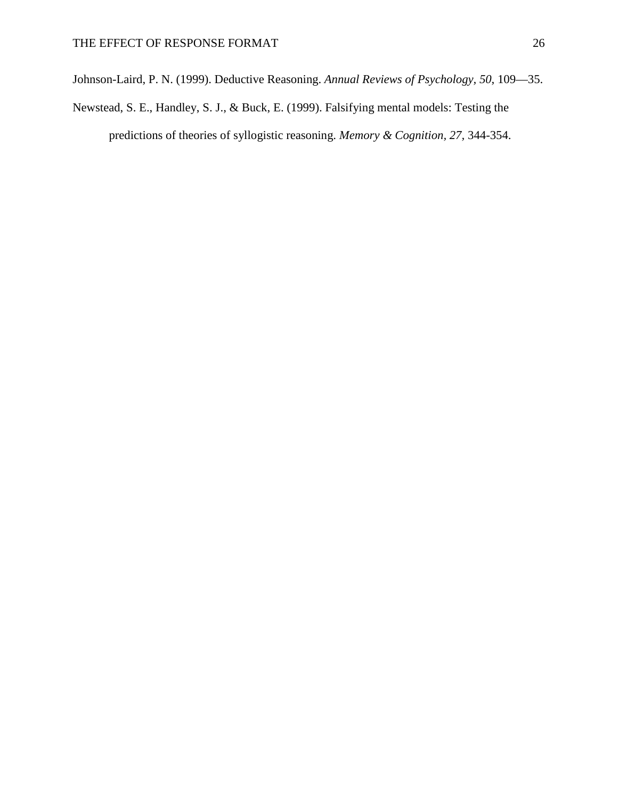Johnson-Laird, P. N. (1999). Deductive Reasoning. *Annual Reviews of Psychology, 50*, 109—35.

Newstead, S. E., Handley, S. J., & Buck, E. (1999). Falsifying mental models: Testing the predictions of theories of syllogistic reasoning. *Memory & Cognition, 27,* 344-354.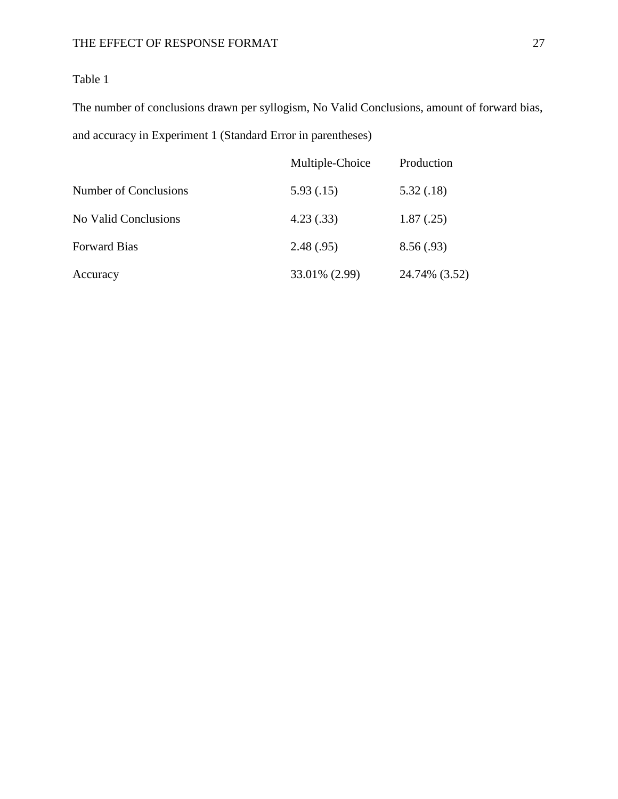The number of conclusions drawn per syllogism, No Valid Conclusions, amount of forward bias, and accuracy in Experiment 1 (Standard Error in parentheses)

|                       | Multiple-Choice | Production    |
|-----------------------|-----------------|---------------|
| Number of Conclusions | 5.93(.15)       | 5.32(.18)     |
| No Valid Conclusions  | 4.23(.33)       | 1.87(.25)     |
| <b>Forward Bias</b>   | 2.48(.95)       | 8.56(.93)     |
| Accuracy              | 33.01% (2.99)   | 24.74% (3.52) |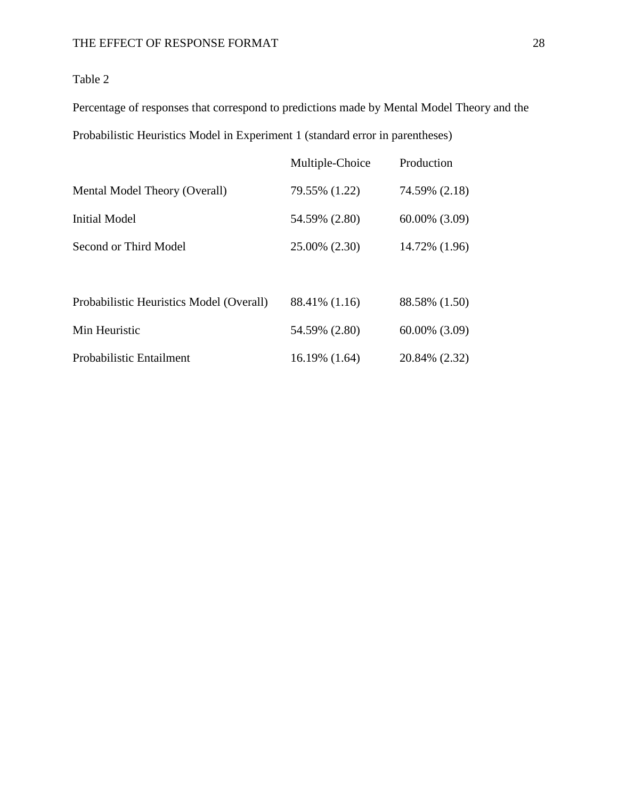Percentage of responses that correspond to predictions made by Mental Model Theory and the Probabilistic Heuristics Model in Experiment 1 (standard error in parentheses)

|                                          | Multiple-Choice | Production         |
|------------------------------------------|-----------------|--------------------|
| Mental Model Theory (Overall)            | 79.55% (1.22)   | 74.59% (2.18)      |
| <b>Initial Model</b>                     | 54.59% (2.80)   | $60.00\%$ $(3.09)$ |
| Second or Third Model                    | 25.00% (2.30)   | 14.72% (1.96)      |
|                                          |                 |                    |
| Probabilistic Heuristics Model (Overall) | 88.41% (1.16)   | 88.58% (1.50)      |
| Min Heuristic                            | 54.59% (2.80)   | $60.00\%$ $(3.09)$ |
| Probabilistic Entailment                 | 16.19% (1.64)   | 20.84% (2.32)      |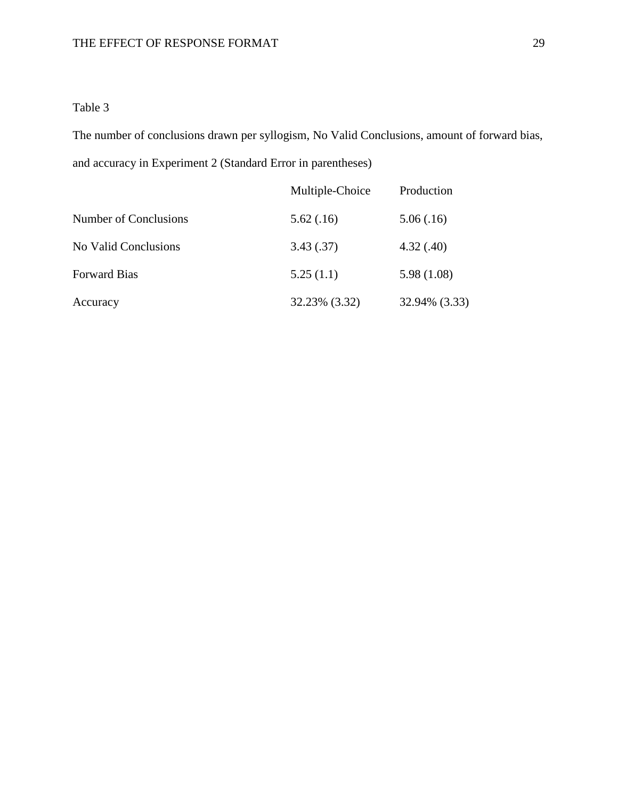The number of conclusions drawn per syllogism, No Valid Conclusions, amount of forward bias, and accuracy in Experiment 2 (Standard Error in parentheses)

|                       | Multiple-Choice | Production    |
|-----------------------|-----------------|---------------|
| Number of Conclusions | 5.62(.16)       | 5.06(.16)     |
| No Valid Conclusions  | 3.43(.37)       | 4.32(.40)     |
| <b>Forward Bias</b>   | 5.25(1.1)       | 5.98 (1.08)   |
| Accuracy              | 32.23% (3.32)   | 32.94% (3.33) |